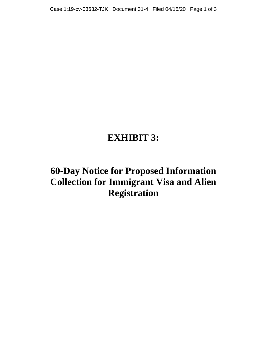# **EXHIBIT 3:**

# **60-Day Notice for Proposed Information Collection for Immigrant Visa and Alien Registration**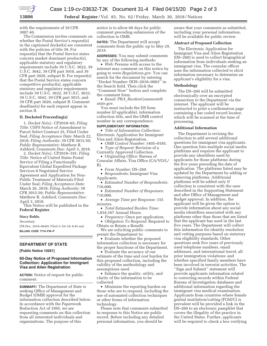

**13806 Federal Register** / Vol. 83, No. 62 / Friday, March 30, 2018 / Notices

with the requirements of 39 CFR 3007.40.

The Commission invites comments on whether the Postal Service's request(s) in the captioned docket(s) are consistent with the policies of title 39. For request(s) that the Postal Service states concern market dominant product(s), applicable statutory and regulatory requirements include 39 U.S.C. 3622, 39 U.S.C. 3642, 39 CFR part 3010, and 39 CFR part 3020, subpart B. For request(s) that the Postal Service states concern competitive product(s), applicable statutory and regulatory requirements include 39 U.S.C. 3632, 39 U.S.C. 3633, 39 U.S.C. 3642, 39 CFR part 3015, and 39 CFR part 3020, subpart B. Comment deadline(s) for each request appear in section II.

#### **II. Docketed Proceeding(s)**

1. *Docket No(s).:* CP2018–65; *Filing Title:* USPS Notice of Amendment to Parcel Select Contract 25, Filed Under Seal; *Filing Acceptance Date:* March 22, 2018; *Filing Authority:* 39 CFR 3015.50; *Public Representative:* Matthew R. Ashford; *Comments Due:* April 3, 2018.

2. *Docket No(s).:* CP2018–191; *Filing Title:* Notice of United States Postal Service of Filing a Functionally Equivalent Global Expedited Package Services 8 Negotiated Service Agreement and Application for Non-Public Treatment of Materials Filed Under Seal; *Filing Acceptance Date:*  March 26, 2018; *Filing Authority:* 39 CFR 3015.50; *Public Representative:*  Matthew R. Ashford; *Comments Due:*  April 3, 2018.

This Notice will be published in the **Federal Register**.

# **Stacy Ruble,**

*Secretary.* 

[FR Doc. 2018–06481 Filed 3–29–18; 8:45 am] **BILLING CODE 7710–FW–P** 

#### **DEPARTMENT OF STATE**

**[Public Notice 10261]** 

#### **60-Day Notice of Proposed Information Collection: Application for Immigrant Visa and Alien Registration**

**ACTION:** Notice of request for public comment.

**SUMMARY:** The Department of State is seeking Office of Management and Budget (OMB) approval for the information collection described below. In accordance with the Paperwork Reduction Act of 1995, we are requesting comments on this collection from all interested individuals and organizations. The purpose of this

notice is to allow 60 days for public comment preceding submission of the collection to OMB.

**DATES:** The Department will accept comments from the public up to *May 29, 2018.* 

**ADDRESSES:** You may submit comments by any of the following methods:

• *Web:* Persons with access to the internet may comment on this notice by going to *www.Regulations.gov*. You can search for the document by entering ''Docket Number: DOS–2018–0003'' in the Search field. Then click the ''Comment Now'' button and complete the comment form.

• *Email: PRA*\_*BurdenComments@ state.gov*.

You must include the DS form number (if applicable), information collection title, and the OMB control number in any correspondence.

## **SUPPLEMENTARY INFORMATION:**

• *Title of Information Collection:*  Electronic Application for Immigrant Visa and Alien Registration.

• *OMB Control Number:* 1405–0185.

• *Type of Request:* Revision of a Currently Approved Collection.

• *Originating Office:* Bureau of Consular Affairs, Visa Office (CA/VO/L/ R).

• *Form Number:* DS–260.

• *Respondents:* Immigrant Visa Applicants.

• *Estimated Number of Respondents:*  710,000.

• *Estimated Number of Responses:*  710,000.

• *Average Time per Response:* 155 minutes.

• *Total Estimated Burden Time:*  1,834,167 Annual Hours.

• *Frequency:* Once per application.

• *Obligation To Respond:* Required to Obtain or Retain a Benefit.

We are soliciting public comments to permit the Department to:

• Evaluate whether the proposed information collection is necessary for the proper functions of the Department.

• Evaluate the accuracy of our estimate of the time and cost burden for this proposed collection, including the validity of the methodology and assumptions used.

• Enhance the quality, utility, and clarity of the information to be collected.

• Minimize the reporting burden on those who are to respond, including the use of automated collection techniques or other forms of information technology.

Please note that comments submitted in response to this Notice are public record. Before including any detailed personal information, you should be

aware that your comments as submitted, including your personal information, will be available for public review.

## **Abstract of Proposed Collection**

The Electronic Application for Immigrant Visa and Alien Registration (DS–260) is used to collect biographical information from individuals seeking an immigrant visa. The consular officer uses the information collected to elicit information necessary to determine an applicant's eligibility for a visa.

#### **Methodology**

The DS–260 will be submitted electronically over an encrypted connection to the Department via the internet. The applicant will be instructed to print a confirmation page containing a bar coded record locator, which will be scanned at the time of processing.

#### **Additional Information**

The Department is revising the collection to add several additional questions for immigrant visa applicants. One question lists multiple social media platforms and requires the applicant to provide any identifiers used by applicants for those platforms during the five years preceding the date of application. The platforms listed may be updated by the Department by adding or removing platforms. Additional platforms will be added only if collection is consistent with the uses described in the Supporting Statement and after Office of Management and Budget approval. In addition, the applicant will be given the option to provide information about any social media identifiers associated with any platforms other than those that are listed that the applicant has used in the last five years. The Department will collect this information for identity resolution and vetting purposes based on statutory visa eligibility standards. Other questions seek five years of previously used telephone numbers, email addresses, and international travel; all prior immigration violations; and whether specified family members have been involved in terrorist activities. The ''Sign and Submit'' statement will provide applicants information related to correcting records within Federal Bureau of Investigation databases and additional information regarding the immigrant visa medical examination. Applicants from countries where female genital mutilation/cutting (FGM/C) is prevalent will be provided a link in the DS–260 to an electronic pamphlet that covers the illegality of the practice in the United States. Further, applicants will be required to check a box verifying